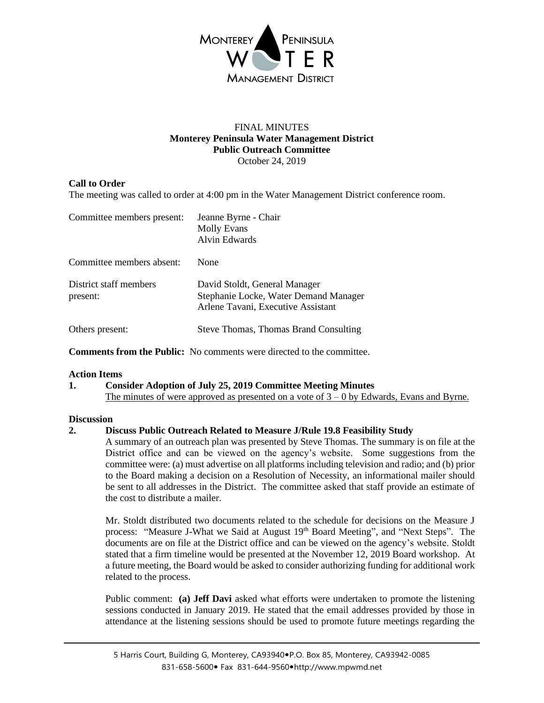

### FINAL MINUTES **Monterey Peninsula Water Management District Public Outreach Committee** October 24, 2019

# **Call to Order**

The meeting was called to order at 4:00 pm in the Water Management District conference room.

| Committee members present:         | Jeanne Byrne - Chair<br><b>Molly Evans</b><br>Alvin Edwards                                                  |
|------------------------------------|--------------------------------------------------------------------------------------------------------------|
| Committee members absent:          | None                                                                                                         |
| District staff members<br>present: | David Stoldt, General Manager<br>Stephanie Locke, Water Demand Manager<br>Arlene Tavani, Executive Assistant |
| Others present:                    | <b>Steve Thomas, Thomas Brand Consulting</b>                                                                 |

**Comments from the Public:** No comments were directed to the committee.

#### **Action Items**

### **1. Consider Adoption of July 25, 2019 Committee Meeting Minutes** The minutes of were approved as presented on a vote of  $3 - 0$  by Edwards, Evans and Byrne.

#### **Discussion**

## **2. Discuss Public Outreach Related to Measure J/Rule 19.8 Feasibility Study**

A summary of an outreach plan was presented by Steve Thomas. The summary is on file at the District office and can be viewed on the agency's website. Some suggestions from the committee were: (a) must advertise on all platforms including television and radio; and (b) prior to the Board making a decision on a Resolution of Necessity, an informational mailer should be sent to all addresses in the District. The committee asked that staff provide an estimate of the cost to distribute a mailer.

Mr. Stoldt distributed two documents related to the schedule for decisions on the Measure J process: "Measure J-What we Said at August 19th Board Meeting", and "Next Steps". The documents are on file at the District office and can be viewed on the agency's website. Stoldt stated that a firm timeline would be presented at the November 12, 2019 Board workshop. At a future meeting, the Board would be asked to consider authorizing funding for additional work related to the process.

Public comment: **(a) Jeff Davi** asked what efforts were undertaken to promote the listening sessions conducted in January 2019. He stated that the email addresses provided by those in attendance at the listening sessions should be used to promote future meetings regarding the